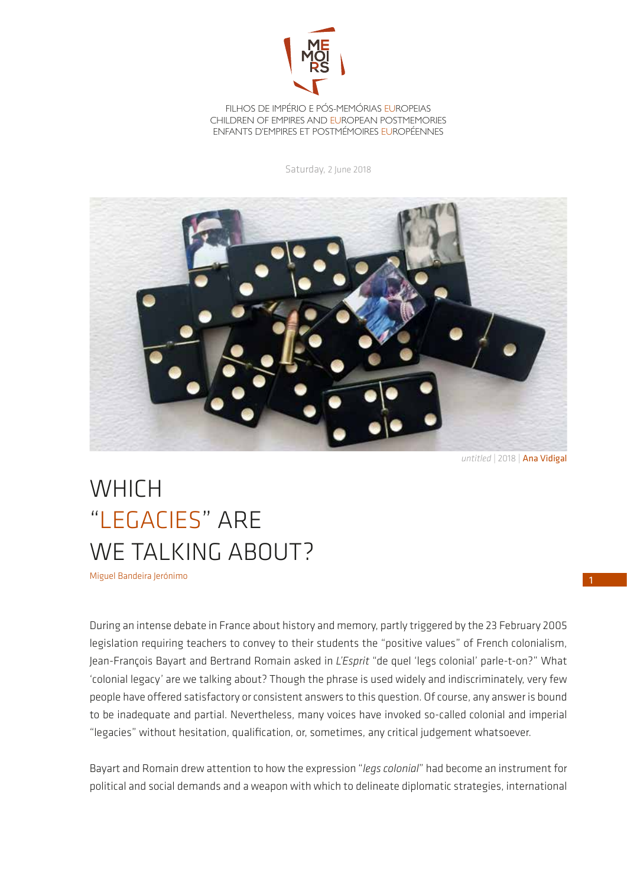

## FILHOS DE IMPÉRIO E PÓS-MEMÓRIAS EUROPEIAS [CHILDREN OF EMPIRES AND EUROPEAN POSTMEMORIES](http://memoirs.ces.uc.pt/?newsletter) ENFANTS D'EMPIRES ET POSTMÉMOIRES EUROPÉENNES

Saturday, 2 June 2018



*untitled* | 2018 | Ana Vidigal

## WHICH "LEGACIES" ARE WE TALKING ABOUT?

Miguel Bandeira Jerónimo

During an intense debate in France about history and memory, partly triggered by the 23 February 2005 legislation requiring teachers to convey to their students the "positive values" of French colonialism, Jean-François Bayart and Bertrand Romain asked in *L'Esprit* "de quel 'legs colonial' parle-t-on?" What 'colonial legacy' are we talking about? Though the phrase is used widely and indiscriminately, very few people have offered satisfactory or consistent answers to this question. Of course, any answer is bound to be inadequate and partial. Nevertheless, many voices have invoked so-called colonial and imperial "legacies" without hesitation, qualification, or, sometimes, any critical judgement whatsoever.

Bayart and Romain drew attention to how the expression "*legs colonial*" had become an instrument for political and social demands and a weapon with which to delineate diplomatic strategies, international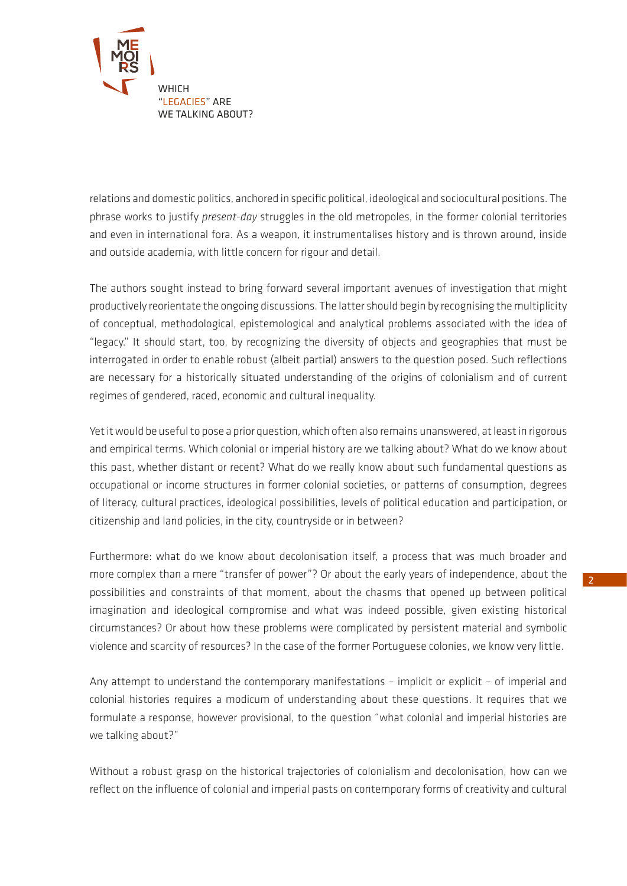

relations and domestic politics, anchored in specific political, ideological and sociocultural positions. The phrase works to justify *present-day* struggles in the old metropoles, in the former colonial territories and even in international fora. As a weapon, it instrumentalises history and is thrown around, inside and outside academia, with little concern for rigour and detail.

The authors sought instead to bring forward several important avenues of investigation that might productively reorientate the ongoing discussions. The latter should begin by recognising the multiplicity of conceptual, methodological, epistemological and analytical problems associated with the idea of "legacy." It should start, too, by recognizing the diversity of objects and geographies that must be interrogated in order to enable robust (albeit partial) answers to the question posed. Such reflections are necessary for a historically situated understanding of the origins of colonialism and of current regimes of gendered, raced, economic and cultural inequality.

Yet it would be useful to pose a prior question, which often also remains unanswered, at least in rigorous and empirical terms. Which colonial or imperial history are we talking about? What do we know about this past, whether distant or recent? What do we really know about such fundamental questions as occupational or income structures in former colonial societies, or patterns of consumption, degrees of literacy, cultural practices, ideological possibilities, levels of political education and participation, or citizenship and land policies, in the city, countryside or in between?

Furthermore: what do we know about decolonisation itself, a process that was much broader and more complex than a mere "transfer of power"? Or about the early years of independence, about the possibilities and constraints of that moment, about the chasms that opened up between political imagination and ideological compromise and what was indeed possible, given existing historical circumstances? Or about how these problems were complicated by persistent material and symbolic violence and scarcity of resources? In the case of the former Portuguese colonies, we know very little.

Any attempt to understand the contemporary manifestations – implicit or explicit – of imperial and colonial histories requires a modicum of understanding about these questions. It requires that we formulate a response, however provisional, to the question "what colonial and imperial histories are we talking about?"

Without a robust grasp on the historical trajectories of colonialism and decolonisation, how can we reflect on the influence of colonial and imperial pasts on contemporary forms of creativity and cultural